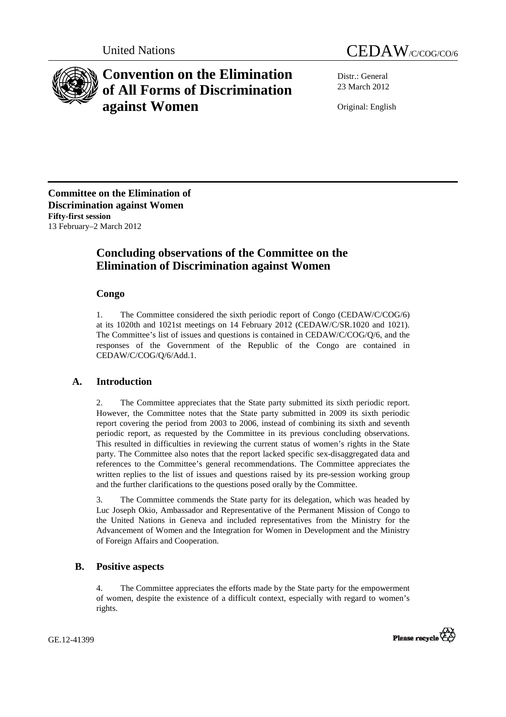



# **Convention on the Elimination of All Forms of Discrimination against Women**

Distr.: General 23 March 2012

Original: English

**Committee on the Elimination of Discrimination against Women Fifty-first session**  13 February–2 March 2012

## **Concluding observations of the Committee on the Elimination of Discrimination against Women**

## **Congo**

1. The Committee considered the sixth periodic report of Congo (CEDAW/C/COG/6) at its 1020th and 1021st meetings on 14 February 2012 (CEDAW/C/SR.1020 and 1021). The Committee's list of issues and questions is contained in CEDAW/C/COG/Q/6, and the responses of the Government of the Republic of the Congo are contained in CEDAW/C/COG/Q/6/Add.1.

## **A. Introduction**

2. The Committee appreciates that the State party submitted its sixth periodic report. However, the Committee notes that the State party submitted in 2009 its sixth periodic report covering the period from 2003 to 2006, instead of combining its sixth and seventh periodic report, as requested by the Committee in its previous concluding observations. This resulted in difficulties in reviewing the current status of women's rights in the State party. The Committee also notes that the report lacked specific sex-disaggregated data and references to the Committee's general recommendations. The Committee appreciates the written replies to the list of issues and questions raised by its pre-session working group and the further clarifications to the questions posed orally by the Committee.

3. The Committee commends the State party for its delegation, which was headed by Luc Joseph Okio, Ambassador and Representative of the Permanent Mission of Congo to the United Nations in Geneva and included representatives from the Ministry for the Advancement of Women and the Integration for Women in Development and the Ministry of Foreign Affairs and Cooperation.

## **B. Positive aspects**

4. The Committee appreciates the efforts made by the State party for the empowerment of women, despite the existence of a difficult context, especially with regard to women's rights.

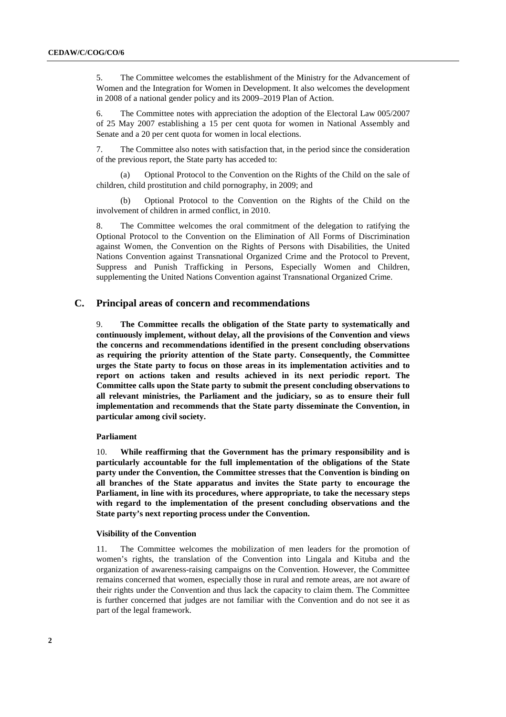5. The Committee welcomes the establishment of the Ministry for the Advancement of Women and the Integration for Women in Development. It also welcomes the development in 2008 of a national gender policy and its 2009–2019 Plan of Action.

6. The Committee notes with appreciation the adoption of the Electoral Law 005/2007 of 25 May 2007 establishing a 15 per cent quota for women in National Assembly and Senate and a 20 per cent quota for women in local elections.

7. The Committee also notes with satisfaction that, in the period since the consideration of the previous report, the State party has acceded to:

(a) Optional Protocol to the Convention on the Rights of the Child on the sale of children, child prostitution and child pornography, in 2009; and

(b) Optional Protocol to the Convention on the Rights of the Child on the involvement of children in armed conflict, in 2010.

8. The Committee welcomes the oral commitment of the delegation to ratifying the Optional Protocol to the Convention on the Elimination of All Forms of Discrimination against Women, the Convention on the Rights of Persons with Disabilities, the United Nations Convention against Transnational Organized Crime and the Protocol to Prevent, Suppress and Punish Trafficking in Persons, Especially Women and Children, supplementing the United Nations Convention against Transnational Organized Crime.

## **C. Principal areas of concern and recommendations**

9. **The Committee recalls the obligation of the State party to systematically and continuously implement, without delay, all the provisions of the Convention and views the concerns and recommendations identified in the present concluding observations as requiring the priority attention of the State party. Consequently, the Committee urges the State party to focus on those areas in its implementation activities and to report on actions taken and results achieved in its next periodic report. The Committee calls upon the State party to submit the present concluding observations to all relevant ministries, the Parliament and the judiciary, so as to ensure their full implementation and recommends that the State party disseminate the Convention, in particular among civil society.** 

#### **Parliament**

10. **While reaffirming that the Government has the primary responsibility and is particularly accountable for the full implementation of the obligations of the State party under the Convention, the Committee stresses that the Convention is binding on all branches of the State apparatus and invites the State party to encourage the Parliament, in line with its procedures, where appropriate, to take the necessary steps with regard to the implementation of the present concluding observations and the State party's next reporting process under the Convention.** 

#### **Visibility of the Convention**

11. The Committee welcomes the mobilization of men leaders for the promotion of women's rights, the translation of the Convention into Lingala and Kituba and the organization of awareness-raising campaigns on the Convention. However, the Committee remains concerned that women, especially those in rural and remote areas, are not aware of their rights under the Convention and thus lack the capacity to claim them. The Committee is further concerned that judges are not familiar with the Convention and do not see it as part of the legal framework.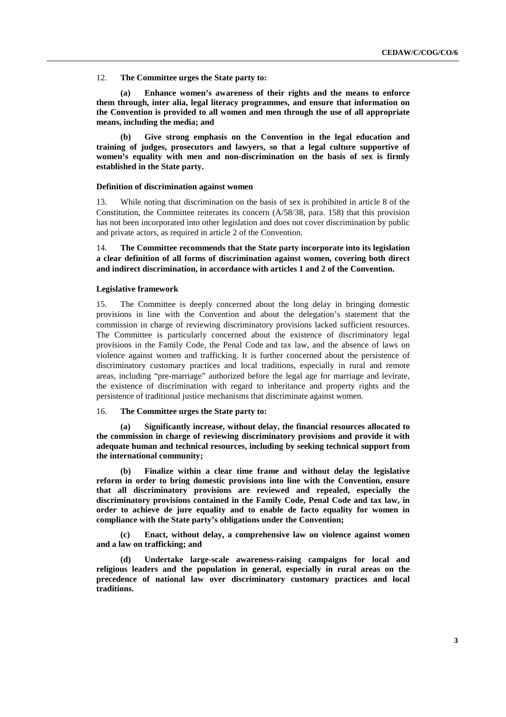12. **The Committee urges the State party to:** 

**(a) Enhance women's awareness of their rights and the means to enforce them through, inter alia, legal literacy programmes, and ensure that information on the Convention is provided to all women and men through the use of all appropriate means, including the media; and** 

**(b) Give strong emphasis on the Convention in the legal education and training of judges, prosecutors and lawyers, so that a legal culture supportive of women's equality with men and non-discrimination on the basis of sex is firmly established in the State party.** 

#### **Definition of discrimination against women**

13. While noting that discrimination on the basis of sex is prohibited in article 8 of the Constitution, the Committee reiterates its concern (A/58/38, para. 158) that this provision has not been incorporated into other legislation and does not cover discrimination by public and private actors, as required in article 2 of the Convention.

14. **The Committee recommends that the State party incorporate into its legislation a clear definition of all forms of discrimination against women, covering both direct and indirect discrimination, in accordance with articles 1 and 2 of the Convention.** 

#### **Legislative framework**

15. The Committee is deeply concerned about the long delay in bringing domestic provisions in line with the Convention and about the delegation's statement that the commission in charge of reviewing discriminatory provisions lacked sufficient resources. The Committee is particularly concerned about the existence of discriminatory legal provisions in the Family Code, the Penal Code and tax law, and the absence of laws on violence against women and trafficking. It is further concerned about the persistence of discriminatory customary practices and local traditions, especially in rural and remote areas, including "pre-marriage" authorized before the legal age for marriage and levirate, the existence of discrimination with regard to inheritance and property rights and the persistence of traditional justice mechanisms that discriminate against women.

#### 16. **The Committee urges the State party to:**

**(a) Significantly increase, without delay, the financial resources allocated to the commission in charge of reviewing discriminatory provisions and provide it with adequate human and technical resources, including by seeking technical support from the international community;** 

**(b) Finalize within a clear time frame and without delay the legislative reform in order to bring domestic provisions into line with the Convention, ensure that all discriminatory provisions are reviewed and repealed, especially the discriminatory provisions contained in the Family Code, Penal Code and tax law, in order to achieve de jure equality and to enable de facto equality for women in compliance with the State party's obligations under the Convention;** 

**(c) Enact, without delay, a comprehensive law on violence against women and a law on trafficking; and** 

**(d) Undertake large-scale awareness-raising campaigns for local and religious leaders and the population in general, especially in rural areas on the precedence of national law over discriminatory customary practices and local traditions.**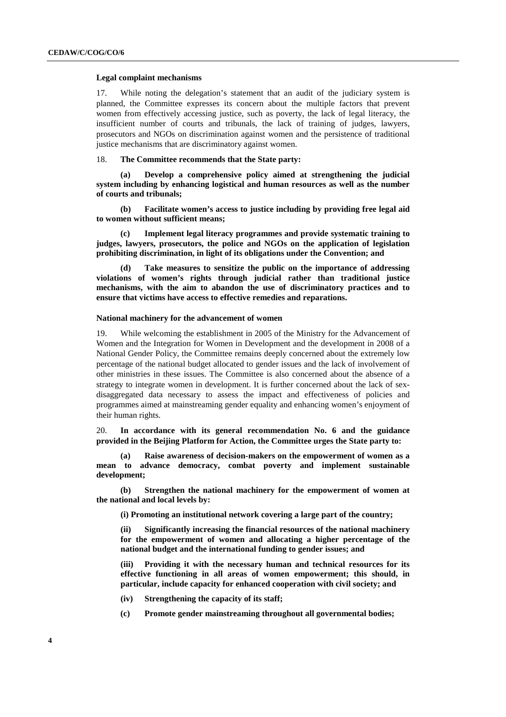#### **Legal complaint mechanisms**

17. While noting the delegation's statement that an audit of the judiciary system is planned, the Committee expresses its concern about the multiple factors that prevent women from effectively accessing justice, such as poverty, the lack of legal literacy, the insufficient number of courts and tribunals, the lack of training of judges, lawyers, prosecutors and NGOs on discrimination against women and the persistence of traditional justice mechanisms that are discriminatory against women.

#### 18. **The Committee recommends that the State party:**

**(a) Develop a comprehensive policy aimed at strengthening the judicial system including by enhancing logistical and human resources as well as the number of courts and tribunals;** 

**(b) Facilitate women's access to justice including by providing free legal aid to women without sufficient means;** 

**(c) Implement legal literacy programmes and provide systematic training to judges, lawyers, prosecutors, the police and NGOs on the application of legislation prohibiting discrimination, in light of its obligations under the Convention; and** 

**(d) Take measures to sensitize the public on the importance of addressing violations of women's rights through judicial rather than traditional justice mechanisms, with the aim to abandon the use of discriminatory practices and to ensure that victims have access to effective remedies and reparations.** 

#### **National machinery for the advancement of women**

19. While welcoming the establishment in 2005 of the Ministry for the Advancement of Women and the Integration for Women in Development and the development in 2008 of a National Gender Policy, the Committee remains deeply concerned about the extremely low percentage of the national budget allocated to gender issues and the lack of involvement of other ministries in these issues. The Committee is also concerned about the absence of a strategy to integrate women in development. It is further concerned about the lack of sexdisaggregated data necessary to assess the impact and effectiveness of policies and programmes aimed at mainstreaming gender equality and enhancing women's enjoyment of their human rights.

20. **In accordance with its general recommendation No. 6 and the guidance provided in the Beijing Platform for Action, the Committee urges the State party to:** 

**(a) Raise awareness of decision-makers on the empowerment of women as a mean to advance democracy, combat poverty and implement sustainable development;** 

**(b) Strengthen the national machinery for the empowerment of women at the national and local levels by:** 

**(i) Promoting an institutional network covering a large part of the country;** 

**(ii) Significantly increasing the financial resources of the national machinery for the empowerment of women and allocating a higher percentage of the national budget and the international funding to gender issues; and** 

Providing it with the necessary human and technical resources for its **effective functioning in all areas of women empowerment; this should, in particular, include capacity for enhanced cooperation with civil society; and** 

- **(iv) Strengthening the capacity of its staff;**
- **(c) Promote gender mainstreaming throughout all governmental bodies;**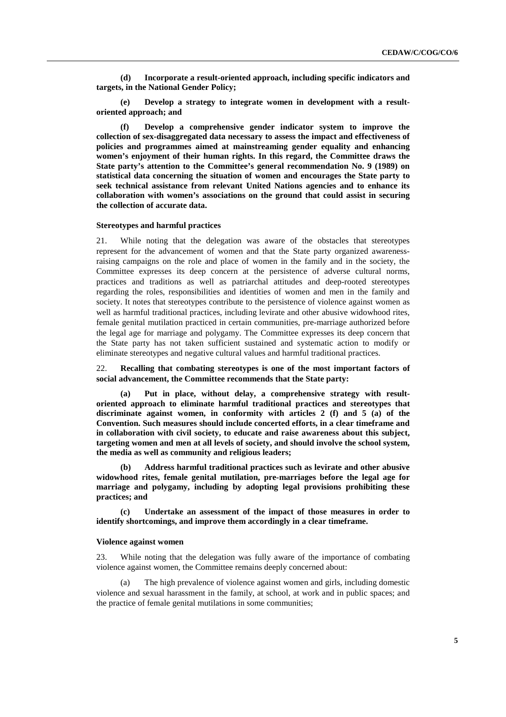**(d) Incorporate a result-oriented approach, including specific indicators and targets, in the National Gender Policy;** 

**(e) Develop a strategy to integrate women in development with a resultoriented approach; and** 

**(f) Develop a comprehensive gender indicator system to improve the collection of sex-disaggregated data necessary to assess the impact and effectiveness of policies and programmes aimed at mainstreaming gender equality and enhancing women's enjoyment of their human rights. In this regard, the Committee draws the State party's attention to the Committee's general recommendation No. 9 (1989) on statistical data concerning the situation of women and encourages the State party to seek technical assistance from relevant United Nations agencies and to enhance its collaboration with women's associations on the ground that could assist in securing the collection of accurate data.** 

#### **Stereotypes and harmful practices**

21. While noting that the delegation was aware of the obstacles that stereotypes represent for the advancement of women and that the State party organized awarenessraising campaigns on the role and place of women in the family and in the society, the Committee expresses its deep concern at the persistence of adverse cultural norms, practices and traditions as well as patriarchal attitudes and deep-rooted stereotypes regarding the roles, responsibilities and identities of women and men in the family and society. It notes that stereotypes contribute to the persistence of violence against women as well as harmful traditional practices, including levirate and other abusive widowhood rites, female genital mutilation practiced in certain communities, pre-marriage authorized before the legal age for marriage and polygamy. The Committee expresses its deep concern that the State party has not taken sufficient sustained and systematic action to modify or eliminate stereotypes and negative cultural values and harmful traditional practices.

#### 22. **Recalling that combating stereotypes is one of the most important factors of social advancement, the Committee recommends that the State party:**

**(a) Put in place, without delay, a comprehensive strategy with resultoriented approach to eliminate harmful traditional practices and stereotypes that discriminate against women, in conformity with articles 2 (f) and 5 (a) of the Convention. Such measures should include concerted efforts, in a clear timeframe and in collaboration with civil society, to educate and raise awareness about this subject, targeting women and men at all levels of society, and should involve the school system, the media as well as community and religious leaders;** 

**(b) Address harmful traditional practices such as levirate and other abusive widowhood rites, female genital mutilation, pre-marriages before the legal age for marriage and polygamy, including by adopting legal provisions prohibiting these practices; and** 

**(c) Undertake an assessment of the impact of those measures in order to identify shortcomings, and improve them accordingly in a clear timeframe.** 

#### **Violence against women**

23. While noting that the delegation was fully aware of the importance of combating violence against women, the Committee remains deeply concerned about:

The high prevalence of violence against women and girls, including domestic violence and sexual harassment in the family, at school, at work and in public spaces; and the practice of female genital mutilations in some communities;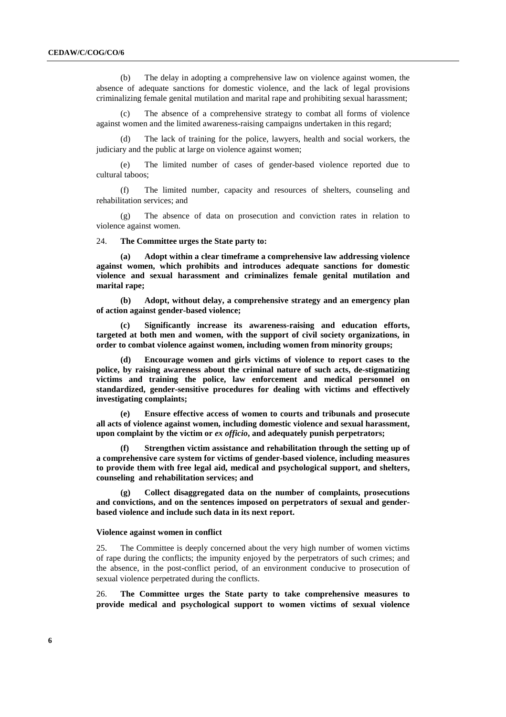(b) The delay in adopting a comprehensive law on violence against women, the absence of adequate sanctions for domestic violence, and the lack of legal provisions criminalizing female genital mutilation and marital rape and prohibiting sexual harassment;

The absence of a comprehensive strategy to combat all forms of violence against women and the limited awareness-raising campaigns undertaken in this regard;

(d) The lack of training for the police, lawyers, health and social workers, the judiciary and the public at large on violence against women;

(e) The limited number of cases of gender-based violence reported due to cultural taboos;

(f) The limited number, capacity and resources of shelters, counseling and rehabilitation services; and

(g) The absence of data on prosecution and conviction rates in relation to violence against women.

24. **The Committee urges the State party to:** 

**(a) Adopt within a clear timeframe a comprehensive law addressing violence against women, which prohibits and introduces adequate sanctions for domestic violence and sexual harassment and criminalizes female genital mutilation and marital rape;** 

**(b) Adopt, without delay, a comprehensive strategy and an emergency plan of action against gender-based violence;** 

**(c) Significantly increase its awareness-raising and education efforts, targeted at both men and women, with the support of civil society organizations, in order to combat violence against women, including women from minority groups;** 

**(d) Encourage women and girls victims of violence to report cases to the police, by raising awareness about the criminal nature of such acts, de-stigmatizing victims and training the police, law enforcement and medical personnel on standardized, gender-sensitive procedures for dealing with victims and effectively investigating complaints;** 

**(e) Ensure effective access of women to courts and tribunals and prosecute all acts of violence against women, including domestic violence and sexual harassment, upon complaint by the victim or** *ex officio***, and adequately punish perpetrators;** 

**(f) Strengthen victim assistance and rehabilitation through the setting up of a comprehensive care system for victims of gender-based violence, including measures to provide them with free legal aid, medical and psychological support, and shelters, counseling and rehabilitation services; and** 

**(g) Collect disaggregated data on the number of complaints, prosecutions and convictions, and on the sentences imposed on perpetrators of sexual and genderbased violence and include such data in its next report.** 

#### **Violence against women in conflict**

25. The Committee is deeply concerned about the very high number of women victims of rape during the conflicts; the impunity enjoyed by the perpetrators of such crimes; and the absence, in the post-conflict period, of an environment conducive to prosecution of sexual violence perpetrated during the conflicts.

26. **The Committee urges the State party to take comprehensive measures to provide medical and psychological support to women victims of sexual violence**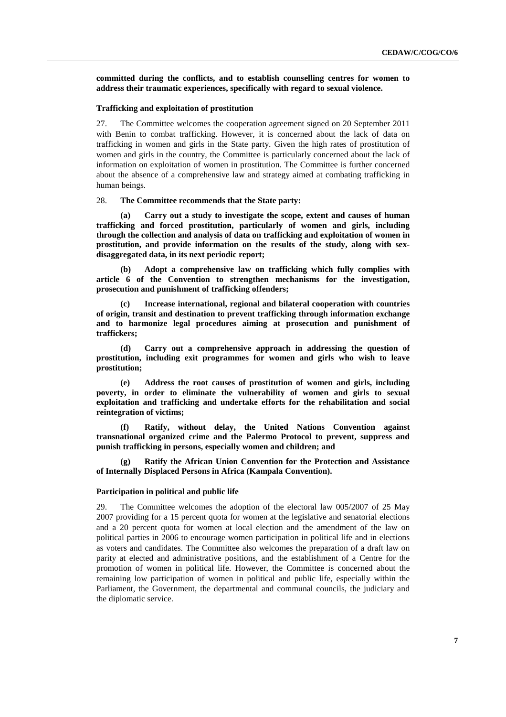**committed during the conflicts, and to establish counselling centres for women to address their traumatic experiences, specifically with regard to sexual violence.** 

#### **Trafficking and exploitation of prostitution**

27. The Committee welcomes the cooperation agreement signed on 20 September 2011 with Benin to combat trafficking. However, it is concerned about the lack of data on trafficking in women and girls in the State party. Given the high rates of prostitution of women and girls in the country, the Committee is particularly concerned about the lack of information on exploitation of women in prostitution. The Committee is further concerned about the absence of a comprehensive law and strategy aimed at combating trafficking in human beings.

28. **The Committee recommends that the State party:** 

**(a) Carry out a study to investigate the scope, extent and causes of human trafficking and forced prostitution, particularly of women and girls, including through the collection and analysis of data on trafficking and exploitation of women in prostitution, and provide information on the results of the study, along with sexdisaggregated data, in its next periodic report;** 

**(b) Adopt a comprehensive law on trafficking which fully complies with article 6 of the Convention to strengthen mechanisms for the investigation, prosecution and punishment of trafficking offenders;** 

**(c) Increase international, regional and bilateral cooperation with countries of origin, transit and destination to prevent trafficking through information exchange and to harmonize legal procedures aiming at prosecution and punishment of traffickers;** 

**(d) Carry out a comprehensive approach in addressing the question of prostitution, including exit programmes for women and girls who wish to leave prostitution;** 

**(e) Address the root causes of prostitution of women and girls, including poverty, in order to eliminate the vulnerability of women and girls to sexual exploitation and trafficking and undertake efforts for the rehabilitation and social reintegration of victims;** 

**(f) Ratify, without delay, the United Nations Convention against transnational organized crime and the Palermo Protocol to prevent, suppress and punish trafficking in persons, especially women and children; and** 

**(g) Ratify the African Union Convention for the Protection and Assistance of Internally Displaced Persons in Africa (Kampala Convention).** 

#### **Participation in political and public life**

29. The Committee welcomes the adoption of the electoral law 005/2007 of 25 May 2007 providing for a 15 percent quota for women at the legislative and senatorial elections and a 20 percent quota for women at local election and the amendment of the law on political parties in 2006 to encourage women participation in political life and in elections as voters and candidates. The Committee also welcomes the preparation of a draft law on parity at elected and administrative positions, and the establishment of a Centre for the promotion of women in political life. However, the Committee is concerned about the remaining low participation of women in political and public life, especially within the Parliament, the Government, the departmental and communal councils, the judiciary and the diplomatic service.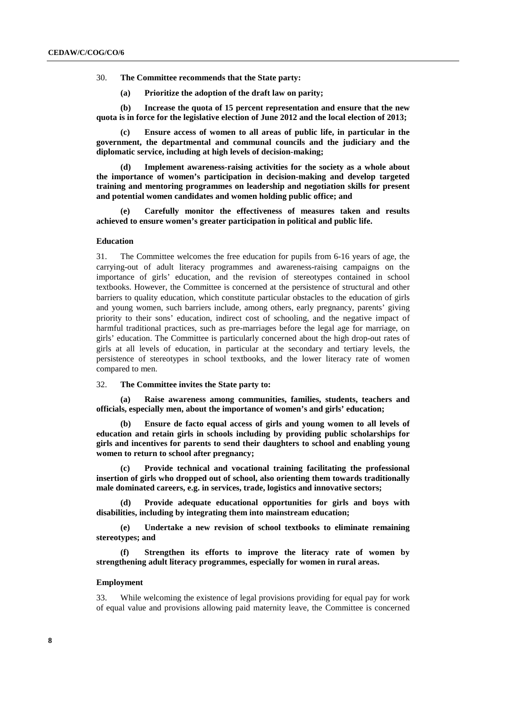- 30. **The Committee recommends that the State party:** 
	- **(a) Prioritize the adoption of the draft law on parity;**

**(b) Increase the quota of 15 percent representation and ensure that the new quota is in force for the legislative election of June 2012 and the local election of 2013;** 

**(c) Ensure access of women to all areas of public life, in particular in the government, the departmental and communal councils and the judiciary and the diplomatic service, including at high levels of decision-making;** 

Implement awareness-raising activities for the society as a whole about **the importance of women's participation in decision-making and develop targeted training and mentoring programmes on leadership and negotiation skills for present and potential women candidates and women holding public office; and** 

**(e) Carefully monitor the effectiveness of measures taken and results achieved to ensure women's greater participation in political and public life.** 

#### **Education**

31. The Committee welcomes the free education for pupils from 6-16 years of age, the carrying-out of adult literacy programmes and awareness-raising campaigns on the importance of girls' education, and the revision of stereotypes contained in school textbooks. However, the Committee is concerned at the persistence of structural and other barriers to quality education, which constitute particular obstacles to the education of girls and young women, such barriers include, among others, early pregnancy, parents' giving priority to their sons' education, indirect cost of schooling, and the negative impact of harmful traditional practices, such as pre-marriages before the legal age for marriage, on girls' education. The Committee is particularly concerned about the high drop-out rates of girls at all levels of education, in particular at the secondary and tertiary levels, the persistence of stereotypes in school textbooks, and the lower literacy rate of women compared to men.

#### 32. **The Committee invites the State party to:**

Raise awareness among communities, families, students, teachers and **officials, especially men, about the importance of women's and girls' education;** 

**(b) Ensure de facto equal access of girls and young women to all levels of education and retain girls in schools including by providing public scholarships for girls and incentives for parents to send their daughters to school and enabling young women to return to school after pregnancy;** 

**(c) Provide technical and vocational training facilitating the professional insertion of girls who dropped out of school, also orienting them towards traditionally male dominated careers, e.g. in services, trade, logistics and innovative sectors;** 

**(d) Provide adequate educational opportunities for girls and boys with disabilities, including by integrating them into mainstream education;** 

**(e) Undertake a new revision of school textbooks to eliminate remaining stereotypes; and** 

**Strengthen its efforts to improve the literacy rate of women by strengthening adult literacy programmes, especially for women in rural areas.** 

#### **Employment**

33. While welcoming the existence of legal provisions providing for equal pay for work of equal value and provisions allowing paid maternity leave, the Committee is concerned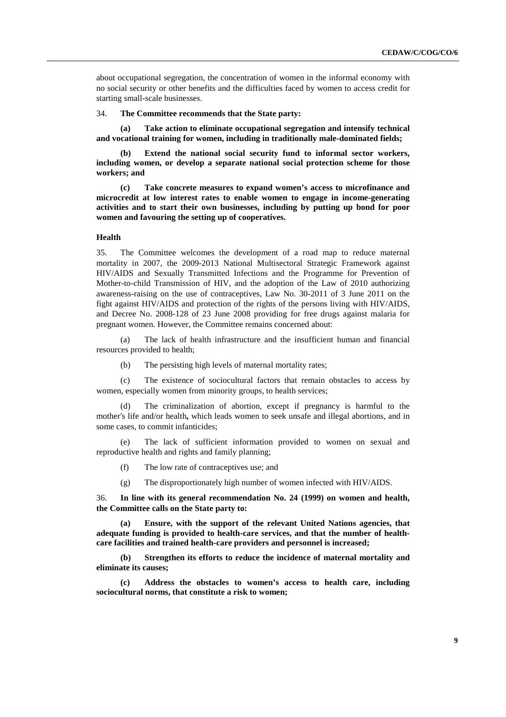about occupational segregation, the concentration of women in the informal economy with no social security or other benefits and the difficulties faced by women to access credit for starting small-scale businesses.

34. **The Committee recommends that the State party:** 

**(a) Take action to eliminate occupational segregation and intensify technical and vocational training for women, including in traditionally male-dominated fields;** 

**(b) Extend the national social security fund to informal sector workers, including women, or develop a separate national social protection scheme for those workers; and** 

**(c) Take concrete measures to expand women's access to microfinance and microcredit at low interest rates to enable women to engage in income-generating activities and to start their own businesses, including by putting up bond for poor women and favouring the setting up of cooperatives.**

## **Health**

35. The Committee welcomes the development of a road map to reduce maternal mortality in 2007, the 2009-2013 National Multisectoral Strategic Framework against HIV/AIDS and Sexually Transmitted Infections and the Programme for Prevention of Mother-to-child Transmission of HIV, and the adoption of the Law of 2010 authorizing awareness-raising on the use of contraceptives, Law No. 30-2011 of 3 June 2011 on the fight against HIV/AIDS and protection of the rights of the persons living with HIV/AIDS, and Decree No. 2008-128 of 23 June 2008 providing for free drugs against malaria for pregnant women. However, the Committee remains concerned about:

(a) The lack of health infrastructure and the insufficient human and financial resources provided to health;

(b) The persisting high levels of maternal mortality rates;

(c) The existence of sociocultural factors that remain obstacles to access by women, especially women from minority groups, to health services;

(d) The criminalization of abortion, except if pregnancy is harmful to the mother's life and/or health**,** which leads women to seek unsafe and illegal abortions, and in some cases, to commit infanticides;

(e) The lack of sufficient information provided to women on sexual and reproductive health and rights and family planning;

(f) The low rate of contraceptives use; and

(g) The disproportionately high number of women infected with HIV/AIDS.

36. **In line with its general recommendation No. 24 (1999) on women and health, the Committee calls on the State party to:** 

**(a) Ensure, with the support of the relevant United Nations agencies, that adequate funding is provided to health-care services, and that the number of healthcare facilities and trained health-care providers and personnel is increased;** 

**(b) Strengthen its efforts to reduce the incidence of maternal mortality and eliminate its causes;** 

**(c) Address the obstacles to women's access to health care, including sociocultural norms, that constitute a risk to women;**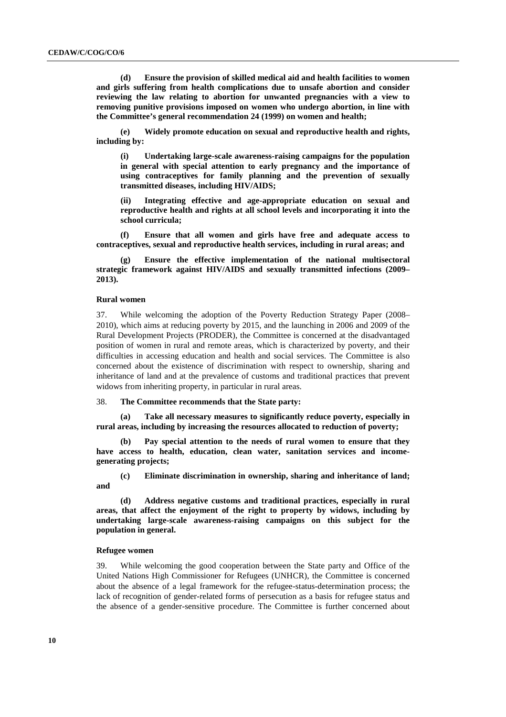**(d) Ensure the provision of skilled medical aid and health facilities to women and girls suffering from health complications due to unsafe abortion and consider reviewing the law relating to abortion for unwanted pregnancies with a view to removing punitive provisions imposed on women who undergo abortion, in line with the Committee's general recommendation 24 (1999) on women and health;** 

**(e) Widely promote education on sexual and reproductive health and rights, including by:** 

**(i) Undertaking large-scale awareness-raising campaigns for the population in general with special attention to early pregnancy and the importance of using contraceptives for family planning and the prevention of sexually transmitted diseases, including HIV/AIDS;** 

**(ii) Integrating effective and age-appropriate education on sexual and reproductive health and rights at all school levels and incorporating it into the school curricula;** 

**(f) Ensure that all women and girls have free and adequate access to contraceptives, sexual and reproductive health services, including in rural areas; and** 

**(g) Ensure the effective implementation of the national multisectoral strategic framework against HIV/AIDS and sexually transmitted infections (2009– 2013).** 

#### **Rural women**

37. While welcoming the adoption of the Poverty Reduction Strategy Paper (2008– 2010), which aims at reducing poverty by 2015, and the launching in 2006 and 2009 of the Rural Development Projects (PRODER), the Committee is concerned at the disadvantaged position of women in rural and remote areas, which is characterized by poverty, and their difficulties in accessing education and health and social services. The Committee is also concerned about the existence of discrimination with respect to ownership, sharing and inheritance of land and at the prevalence of customs and traditional practices that prevent widows from inheriting property, in particular in rural areas.

38. **The Committee recommends that the State party:** 

**(a) Take all necessary measures to significantly reduce poverty, especially in rural areas, including by increasing the resources allocated to reduction of poverty;** 

**(b) Pay special attention to the needs of rural women to ensure that they have access to health, education, clean water, sanitation services and incomegenerating projects;** 

**(c) Eliminate discrimination in ownership, sharing and inheritance of land; and** 

**(d) Address negative customs and traditional practices, especially in rural areas, that affect the enjoyment of the right to property by widows, including by undertaking large-scale awareness-raising campaigns on this subject for the population in general.** 

#### **Refugee women**

39. While welcoming the good cooperation between the State party and Office of the United Nations High Commissioner for Refugees (UNHCR), the Committee is concerned about the absence of a legal framework for the refugee-status-determination process; the lack of recognition of gender-related forms of persecution as a basis for refugee status and the absence of a gender-sensitive procedure. The Committee is further concerned about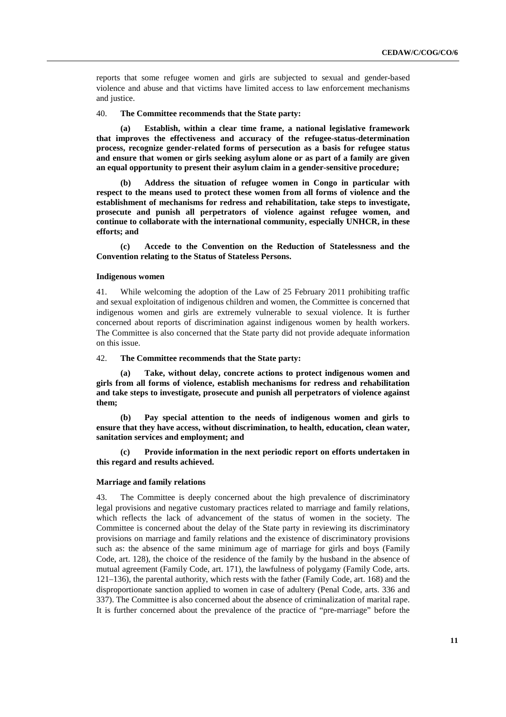reports that some refugee women and girls are subjected to sexual and gender-based violence and abuse and that victims have limited access to law enforcement mechanisms and justice.

40. **The Committee recommends that the State party:** 

**(a) Establish, within a clear time frame, a national legislative framework that improves the effectiveness and accuracy of the refugee-status-determination process, recognize gender-related forms of persecution as a basis for refugee status and ensure that women or girls seeking asylum alone or as part of a family are given an equal opportunity to present their asylum claim in a gender-sensitive procedure;** 

**(b) Address the situation of refugee women in Congo in particular with respect to the means used to protect these women from all forms of violence and the establishment of mechanisms for redress and rehabilitation, take steps to investigate, prosecute and punish all perpetrators of violence against refugee women, and continue to collaborate with the international community, especially UNHCR, in these efforts; and** 

**(c) Accede to the Convention on the Reduction of Statelessness and the Convention relating to the Status of Stateless Persons.** 

#### **Indigenous women**

41. While welcoming the adoption of the Law of 25 February 2011 prohibiting traffic and sexual exploitation of indigenous children and women, the Committee is concerned that indigenous women and girls are extremely vulnerable to sexual violence. It is further concerned about reports of discrimination against indigenous women by health workers. The Committee is also concerned that the State party did not provide adequate information on this issue.

42. **The Committee recommends that the State party:** 

**(a) Take, without delay, concrete actions to protect indigenous women and girls from all forms of violence, establish mechanisms for redress and rehabilitation and take steps to investigate, prosecute and punish all perpetrators of violence against them;** 

**(b) Pay special attention to the needs of indigenous women and girls to ensure that they have access, without discrimination, to health, education, clean water, sanitation services and employment; and** 

**(c) Provide information in the next periodic report on efforts undertaken in this regard and results achieved.** 

#### **Marriage and family relations**

43. The Committee is deeply concerned about the high prevalence of discriminatory legal provisions and negative customary practices related to marriage and family relations, which reflects the lack of advancement of the status of women in the society. The Committee is concerned about the delay of the State party in reviewing its discriminatory provisions on marriage and family relations and the existence of discriminatory provisions such as: the absence of the same minimum age of marriage for girls and boys (Family Code, art. 128), the choice of the residence of the family by the husband in the absence of mutual agreement (Family Code, art. 171), the lawfulness of polygamy (Family Code, arts. 121–136), the parental authority, which rests with the father (Family Code, art. 168) and the disproportionate sanction applied to women in case of adultery (Penal Code, arts. 336 and 337). The Committee is also concerned about the absence of criminalization of marital rape. It is further concerned about the prevalence of the practice of "pre-marriage" before the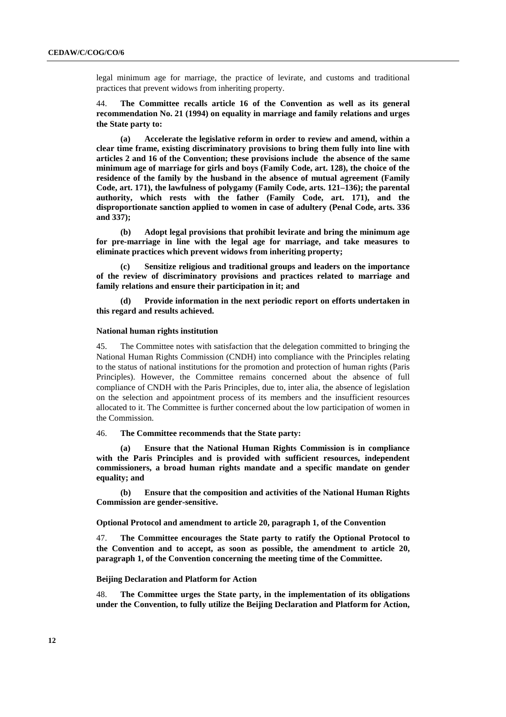legal minimum age for marriage, the practice of levirate, and customs and traditional practices that prevent widows from inheriting property.

44. **The Committee recalls article 16 of the Convention as well as its general recommendation No. 21 (1994) on equality in marriage and family relations and urges the State party to:** 

**(a) Accelerate the legislative reform in order to review and amend, within a clear time frame, existing discriminatory provisions to bring them fully into line with articles 2 and 16 of the Convention; these provisions include the absence of the same minimum age of marriage for girls and boys (Family Code, art. 128), the choice of the residence of the family by the husband in the absence of mutual agreement (Family Code, art. 171), the lawfulness of polygamy (Family Code, arts. 121–136); the parental authority, which rests with the father (Family Code, art. 171), and the disproportionate sanction applied to women in case of adultery (Penal Code, arts. 336 and 337);** 

**(b) Adopt legal provisions that prohibit levirate and bring the minimum age for pre-marriage in line with the legal age for marriage, and take measures to eliminate practices which prevent widows from inheriting property;** 

**(c) Sensitize religious and traditional groups and leaders on the importance of the review of discriminatory provisions and practices related to marriage and family relations and ensure their participation in it; and** 

**(d) Provide information in the next periodic report on efforts undertaken in this regard and results achieved.** 

#### **National human rights institution**

45. The Committee notes with satisfaction that the delegation committed to bringing the National Human Rights Commission (CNDH) into compliance with the Principles relating to the status of national institutions for the promotion and protection of human rights (Paris Principles). However, the Committee remains concerned about the absence of full compliance of CNDH with the Paris Principles, due to, inter alia, the absence of legislation on the selection and appointment process of its members and the insufficient resources allocated to it. The Committee is further concerned about the low participation of women in the Commission.

#### 46. **The Committee recommends that the State party:**

**(a) Ensure that the National Human Rights Commission is in compliance with the Paris Principles and is provided with sufficient resources, independent commissioners, a broad human rights mandate and a specific mandate on gender equality; and** 

**(b) Ensure that the composition and activities of the National Human Rights Commission are gender-sensitive.** 

 **Optional Protocol and amendment to article 20, paragraph 1, of the Convention** 

47. **The Committee encourages the State party to ratify the Optional Protocol to the Convention and to accept, as soon as possible, the amendment to article 20, paragraph 1, of the Convention concerning the meeting time of the Committee.** 

#### **Beijing Declaration and Platform for Action**

48. **The Committee urges the State party, in the implementation of its obligations under the Convention, to fully utilize the Beijing Declaration and Platform for Action,**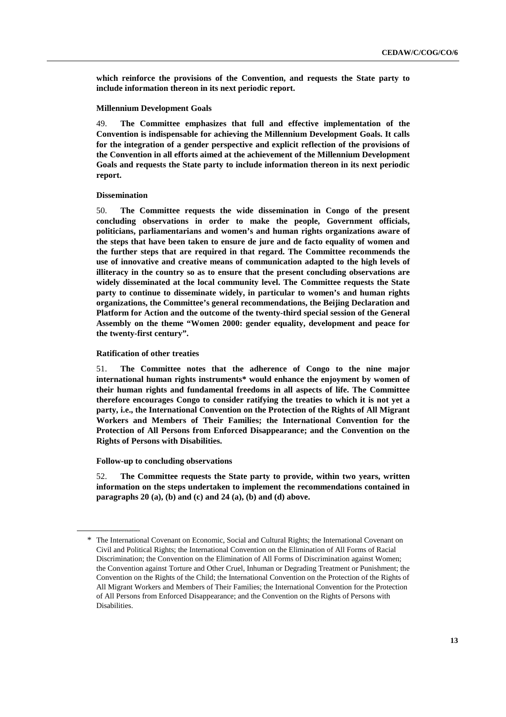**which reinforce the provisions of the Convention, and requests the State party to include information thereon in its next periodic report.** 

#### **Millennium Development Goals**

49. **The Committee emphasizes that full and effective implementation of the Convention is indispensable for achieving the Millennium Development Goals. It calls for the integration of a gender perspective and explicit reflection of the provisions of the Convention in all efforts aimed at the achievement of the Millennium Development Goals and requests the State party to include information thereon in its next periodic report.** 

#### **Dissemination**

50. **The Committee requests the wide dissemination in Congo of the present concluding observations in order to make the people, Government officials, politicians, parliamentarians and women's and human rights organizations aware of the steps that have been taken to ensure de jure and de facto equality of women and the further steps that are required in that regard. The Committee recommends the use of innovative and creative means of communication adapted to the high levels of illiteracy in the country so as to ensure that the present concluding observations are widely disseminated at the local community level. The Committee requests the State party to continue to disseminate widely, in particular to women's and human rights organizations, the Committee's general recommendations, the Beijing Declaration and Platform for Action and the outcome of the twenty-third special session of the General Assembly on the theme "Women 2000: gender equality, development and peace for the twenty-first century".** 

#### **Ratification of other treaties**

51. **The Committee notes that the adherence of Congo to the nine major international human rights instruments\* would enhance the enjoyment by women of their human rights and fundamental freedoms in all aspects of life. The Committee therefore encourages Congo to consider ratifying the treaties to which it is not yet a party, i.e., the International Convention on the Protection of the Rights of All Migrant Workers and Members of Their Families; the International Convention for the Protection of All Persons from Enforced Disappearance; and the Convention on the Rights of Persons with Disabilities.** 

#### **Follow-up to concluding observations**

 $\overline{a}$ 

52. **The Committee requests the State party to provide, within two years, written information on the steps undertaken to implement the recommendations contained in paragraphs 20 (a), (b) and (c) and 24 (a), (b) and (d) above.** 

<sup>\*</sup> The International Covenant on Economic, Social and Cultural Rights; the International Covenant on Civil and Political Rights; the International Convention on the Elimination of All Forms of Racial Discrimination; the Convention on the Elimination of All Forms of Discrimination against Women; the Convention against Torture and Other Cruel, Inhuman or Degrading Treatment or Punishment; the Convention on the Rights of the Child; the International Convention on the Protection of the Rights of All Migrant Workers and Members of Their Families; the International Convention for the Protection of All Persons from Enforced Disappearance; and the Convention on the Rights of Persons with **Disabilities**